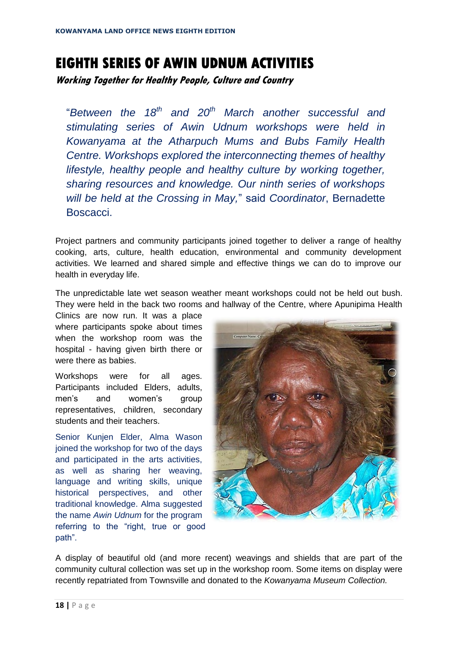# **EIGHTH SERIES OF AWIN UDNUM ACTIVITIES**

**Working Together for Healthy People, Culture and Country** 

"*Between the 18th and 20th March another successful and stimulating series of Awin Udnum workshops were held in Kowanyama at the Atharpuch Mums and Bubs Family Health Centre. Workshops explored the interconnecting themes of healthy lifestyle, healthy people and healthy culture by working together, sharing resources and knowledge. Our ninth series of workshops will be held at the Crossing in May,*" said *Coordinator*, Bernadette Boscacci.

Project partners and community participants joined together to deliver a range of healthy cooking, arts, culture, health education, environmental and community development activities. We learned and shared simple and effective things we can do to improve our health in everyday life.

The unpredictable late wet season weather meant workshops could not be held out bush. They were held in the back two rooms and hallway of the Centre, where Apunipima Health

Clinics are now run. It was a place where participants spoke about times when the workshop room was the hospital - having given birth there or were there as babies.

Workshops were for all ages. Participants included Elders, adults, men's and women's group representatives, children, secondary students and their teachers.

Senior Kunjen Elder, Alma Wason joined the workshop for two of the days and participated in the arts activities, as well as sharing her weaving, language and writing skills, unique historical perspectives, and other traditional knowledge. Alma suggested the name *Awin Udnum* for the program referring to the "right, true or good path".



A display of beautiful old (and more recent) weavings and shields that are part of the community cultural collection was set up in the workshop room. Some items on display were recently repatriated from Townsville and donated to the *Kowanyama Museum Collection.*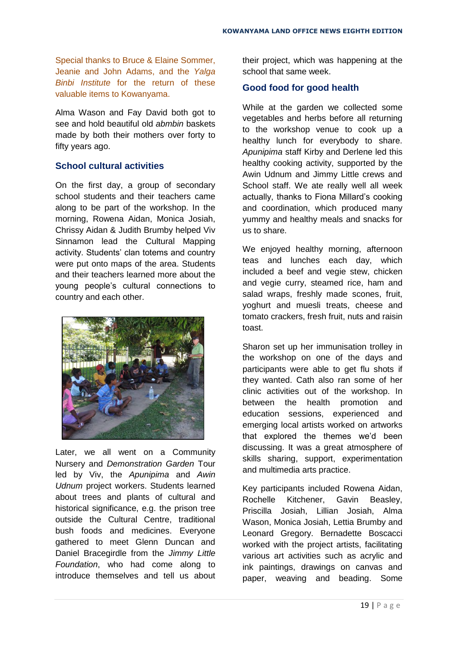Special thanks to Bruce & Elaine Sommer, Jeanie and John Adams, and the *Yalga Binbi Institute* for the return of these valuable items to Kowanyama.

Alma Wason and Fay David both got to see and hold beautiful old *abmbin* baskets made by both their mothers over forty to fifty years ago.

#### **School cultural activities**

On the first day, a group of secondary school students and their teachers came along to be part of the workshop. In the morning, Rowena Aidan, Monica Josiah, Chrissy Aidan & Judith Brumby helped Viv Sinnamon lead the Cultural Mapping activity. Students' clan totems and country were put onto maps of the area. Students and their teachers learned more about the young people's cultural connections to country and each other.



Later, we all went on a Community Nursery and *Demonstration Garden* Tour led by Viv, the *Apunipima* and *Awin Udnum* project workers. Students learned about trees and plants of cultural and historical significance, e.g. the prison tree outside the Cultural Centre, traditional bush foods and medicines. Everyone gathered to meet Glenn Duncan and Daniel Bracegirdle from the *Jimmy Little Foundation*, who had come along to introduce themselves and tell us about

their project, which was happening at the school that same week.

#### **Good food for good health**

While at the garden we collected some vegetables and herbs before all returning to the workshop venue to cook up a healthy lunch for everybody to share. *Apunipima* staff Kirby and Derlene led this healthy cooking activity, supported by the Awin Udnum and Jimmy Little crews and School staff. We ate really well all week actually, thanks to Fiona Millard's cooking and coordination, which produced many yummy and healthy meals and snacks for us to share.

We enjoyed healthy morning, afternoon teas and lunches each day, which included a beef and vegie stew, chicken and vegie curry, steamed rice, ham and salad wraps, freshly made scones, fruit, yoghurt and muesli treats, cheese and tomato crackers, fresh fruit, nuts and raisin toast.

Sharon set up her immunisation trolley in the workshop on one of the days and participants were able to get flu shots if they wanted. Cath also ran some of her clinic activities out of the workshop. In between the health promotion and education sessions, experienced and emerging local artists worked on artworks that explored the themes we'd been discussing. It was a great atmosphere of skills sharing, support, experimentation and multimedia arts practice.

Key participants included Rowena Aidan, Rochelle Kitchener, Gavin Beasley, Priscilla Josiah, Lillian Josiah, Alma Wason, Monica Josiah, Lettia Brumby and Leonard Gregory. Bernadette Boscacci worked with the project artists, facilitating various art activities such as acrylic and ink paintings, drawings on canvas and paper, weaving and beading. Some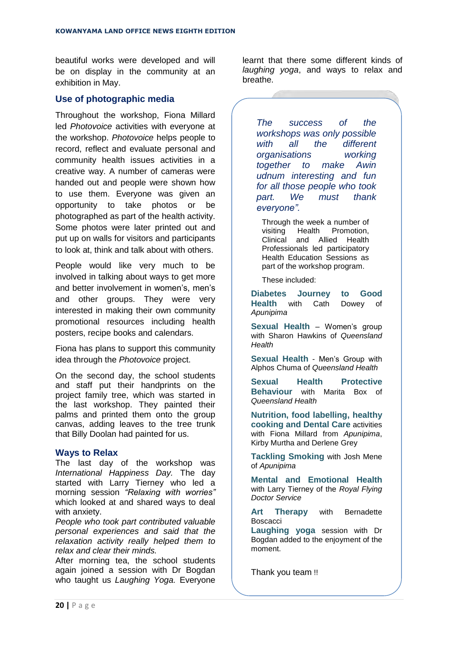beautiful works were developed and will be on display in the community at an exhibition in May.

#### **Use of photographic media**

Throughout the workshop, Fiona Millard led *Photovoice* activities with everyone at the workshop. *Photovoice* helps people to record, reflect and evaluate personal and community health issues activities in a creative way. A number of cameras were handed out and people were shown how to use them. Everyone was given an opportunity to take photos or be photographed as part of the health activity. Some photos were later printed out and put up on walls for visitors and participants to look at, think and talk about with others.

People would like very much to be involved in talking about ways to get more and better involvement in women's, men's and other groups. They were very interested in making their own community promotional resources including health posters, recipe books and calendars.

Fiona has plans to support this community idea through the *Photovoice* project.

On the second day, the school students and staff put their handprints on the project family tree, which was started in the last workshop. They painted their palms and printed them onto the group canvas, adding leaves to the tree trunk that Billy Doolan had painted for us.

#### **Ways to Relax**

The last day of the workshop was *International Happiness Day.* The day started with Larry Tierney who led a morning session *"Relaxing with worries"* which looked at and shared ways to deal with anxiety.

*People who took part contributed valuable personal experiences and said that the relaxation activity really helped them to relax and clear their minds.* 

After morning tea, the school students again joined a session with Dr Bogdan who taught us *Laughing Yoga.* Everyone

learnt that there some different kinds of *laughing yoga*, and ways to relax and breathe.

*The success of the workshops was only possible with all the different organisations working together to make Awin udnum interesting and fun for all those people who took part. We must thank everyone".*

Through the week a number of visiting Health Promotion, Clinical and Allied Health Professionals led participatory Health Education Sessions as part of the workshop program.

These included:

**Diabetes Journey to Good Health** with Cath Dowey of *Apunipima*

**Sexual Health** – Women's group with Sharon Hawkins of *Queensland Health*

**Sexual Health** - Men's Group with Alphos Chuma of *Queensland Health*

**Sexual Health Protective Behaviour** with Marita Box of *Queensland Health*

**Nutrition, food labelling, healthy cooking and Dental Care** activities with Fiona Millard from *Apunipima*, Kirby Murtha and Derlene Grey

**Tackling Smoking** with Josh Mene of *Apunipima*

**Mental and Emotional Health** with Larry Tierney of the *Royal Flying Doctor Service*

**Art Therapy** with Bernadette Boscacci

**Laughing yoga** session with Dr Bogdan added to the enjoyment of the moment.

Thank you team !!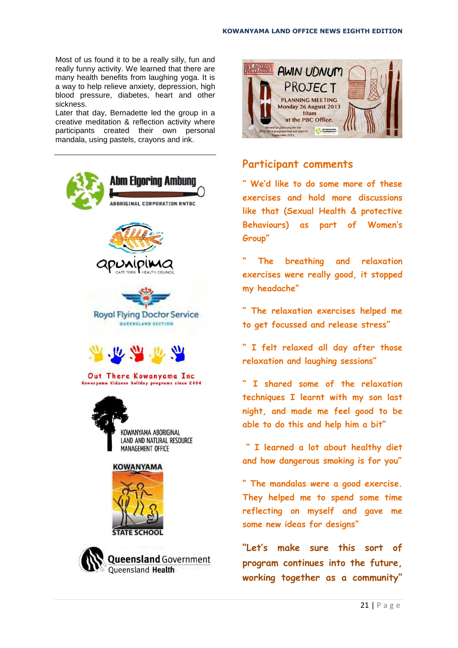Most of us found it to be a really silly, fun and really funny activity. We learned that there are many health benefits from laughing yoga. It is a way to help relieve anxiety, depression, high blood pressure, diabetes, heart and other sickness.

Later that day, Bernadette led the group in a creative meditation & reflection activity where participants created their own personal mandala, using pastels, crayons and ink.





### **Participant comments**

**" We'd like to do some more of these exercises and hold more discussions like that (Sexual Health & protective Behaviours) as part of Women's Group"**

**" The breathing and relaxation exercises were really good, it stopped my headache"**

**" The relaxation exercises helped me to get focussed and release stress"**

**" I felt relaxed all day after those relaxation and laughing sessions"**

**" I shared some of the relaxation techniques I learnt with my son last night, and made me feel good to be able to do this and help him a bit"**

**" I learned a lot about healthy diet and how dangerous smoking is for you"**

**" The mandalas were a good exercise. They helped me to spend some time reflecting on myself and gave me some new ideas for designs"**

**"Let's make sure this sort of program continues into the future, working together as a community"**